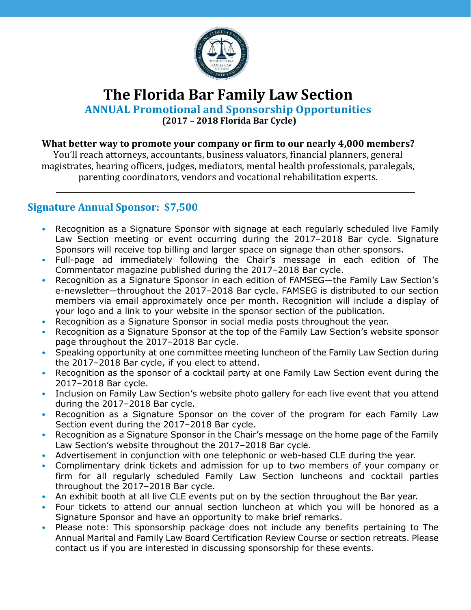

# **The Florida Bar Family Law Section**

**ANNUAL Promotional and Sponsorship Opportunities**

**(2017 – 2018 Florida Bar Cycle)**

#### **What better way to promote your company or firm to our nearly 4,000 members?**

You'll reach attorneys, accountants, business valuators, financial planners, general magistrates, hearing officers, judges, mediators, mental health professionals, paralegals, parenting coordinators, vendors and vocational rehabilitation experts.

### **Signature Annual Sponsor: \$7,500**

- Recognition as a Signature Sponsor with signage at each regularly scheduled live Family Law Section meeting or event occurring during the 2017–2018 Bar cycle. Signature Sponsors will receive top billing and larger space on signage than other sponsors.
- Full-page ad immediately following the Chair's message in each edition of The Commentator magazine published during the 2017–2018 Bar cycle.
- Recognition as a Signature Sponsor in each edition of FAMSEG—the Family Law Section's e-newsletter—throughout the 2017–2018 Bar cycle. FAMSEG is distributed to our section members via email approximately once per month. Recognition will include a display of your logo and a link to your website in the sponsor section of the publication.
- Recognition as a Signature Sponsor in social media posts throughout the year.
- Recognition as a Signature Sponsor at the top of the Family Law Section's website sponsor page throughout the 2017–2018 Bar cycle.
- Speaking opportunity at one committee meeting luncheon of the Family Law Section during the 2017–2018 Bar cycle, if you elect to attend.
- Recognition as the sponsor of a cocktail party at one Family Law Section event during the 2017–2018 Bar cycle.
- Inclusion on Family Law Section's website photo gallery for each live event that you attend during the 2017–2018 Bar cycle.
- Recognition as a Signature Sponsor on the cover of the program for each Family Law Section event during the 2017–2018 Bar cycle.
- Recognition as a Signature Sponsor in the Chair's message on the home page of the Family Law Section's website throughout the 2017–2018 Bar cycle.
- Advertisement in conjunction with one telephonic or web-based CLE during the year.
- Complimentary drink tickets and admission for up to two members of your company or firm for all regularly scheduled Family Law Section luncheons and cocktail parties throughout the 2017–2018 Bar cycle.
- An exhibit booth at all live CLE events put on by the section throughout the Bar year.
- Four tickets to attend our annual section luncheon at which you will be honored as a Signature Sponsor and have an opportunity to make brief remarks.
- Please note: This sponsorship package does not include any benefits pertaining to The Annual Marital and Family Law Board Certification Review Course or section retreats. Please contact us if you are interested in discussing sponsorship for these events.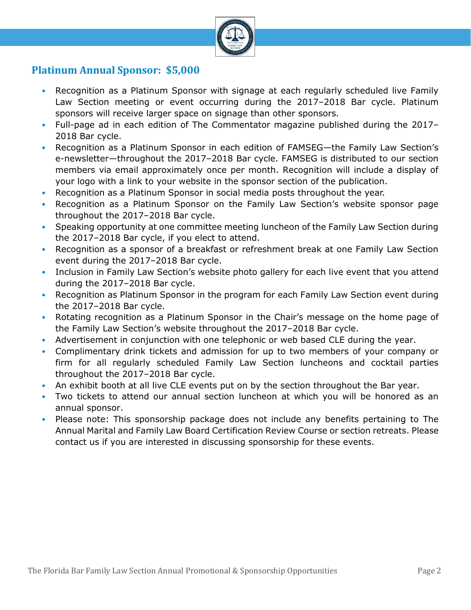

### **Platinum Annual Sponsor: \$5,000**

- Recognition as a Platinum Sponsor with signage at each regularly scheduled live Family Law Section meeting or event occurring during the 2017–2018 Bar cycle. Platinum sponsors will receive larger space on signage than other sponsors.
- Full-page ad in each edition of The Commentator magazine published during the 2017– 2018 Bar cycle.
- Recognition as a Platinum Sponsor in each edition of FAMSEG—the Family Law Section's e-newsletter—throughout the 2017–2018 Bar cycle. FAMSEG is distributed to our section members via email approximately once per month. Recognition will include a display of your logo with a link to your website in the sponsor section of the publication.
- Recognition as a Platinum Sponsor in social media posts throughout the year.
- Recognition as a Platinum Sponsor on the Family Law Section's website sponsor page throughout the 2017–2018 Bar cycle.
- Speaking opportunity at one committee meeting luncheon of the Family Law Section during the 2017–2018 Bar cycle, if you elect to attend.
- Recognition as a sponsor of a breakfast or refreshment break at one Family Law Section event during the 2017–2018 Bar cycle.
- Inclusion in Family Law Section's website photo gallery for each live event that you attend during the 2017–2018 Bar cycle.
- Recognition as Platinum Sponsor in the program for each Family Law Section event during the 2017–2018 Bar cycle.
- Rotating recognition as a Platinum Sponsor in the Chair's message on the home page of the Family Law Section's website throughout the 2017–2018 Bar cycle.
- Advertisement in conjunction with one telephonic or web based CLE during the year.
- Complimentary drink tickets and admission for up to two members of your company or firm for all regularly scheduled Family Law Section luncheons and cocktail parties throughout the 2017–2018 Bar cycle.
- An exhibit booth at all live CLE events put on by the section throughout the Bar year.
- Two tickets to attend our annual section luncheon at which you will be honored as an annual sponsor.
- Please note: This sponsorship package does not include any benefits pertaining to The Annual Marital and Family Law Board Certification Review Course or section retreats. Please contact us if you are interested in discussing sponsorship for these events.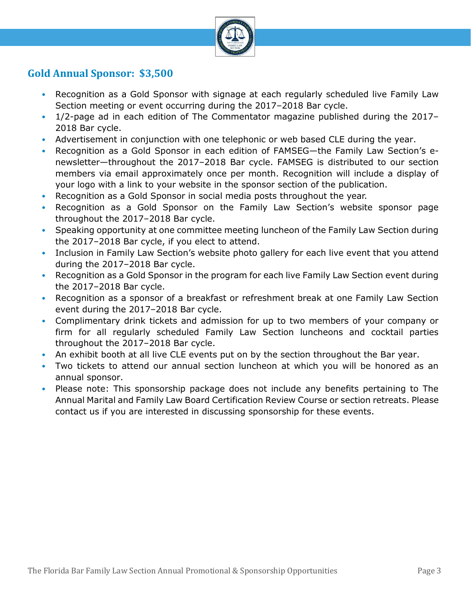

### **Gold Annual Sponsor: \$3,500**

- Recognition as a Gold Sponsor with signage at each regularly scheduled live Family Law Section meeting or event occurring during the 2017–2018 Bar cycle.
- 1/2-page ad in each edition of The Commentator magazine published during the 2017– 2018 Bar cycle.
- Advertisement in conjunction with one telephonic or web based CLE during the year.
- Recognition as a Gold Sponsor in each edition of FAMSEG—the Family Law Section's enewsletter—throughout the 2017–2018 Bar cycle. FAMSEG is distributed to our section members via email approximately once per month. Recognition will include a display of your logo with a link to your website in the sponsor section of the publication.
- Recognition as a Gold Sponsor in social media posts throughout the year.
- Recognition as a Gold Sponsor on the Family Law Section's website sponsor page throughout the 2017–2018 Bar cycle.
- Speaking opportunity at one committee meeting luncheon of the Family Law Section during the 2017–2018 Bar cycle, if you elect to attend.
- Inclusion in Family Law Section's website photo gallery for each live event that you attend during the 2017–2018 Bar cycle.
- Recognition as a Gold Sponsor in the program for each live Family Law Section event during the 2017–2018 Bar cycle.
- Recognition as a sponsor of a breakfast or refreshment break at one Family Law Section event during the 2017–2018 Bar cycle.
- Complimentary drink tickets and admission for up to two members of your company or firm for all regularly scheduled Family Law Section luncheons and cocktail parties throughout the 2017–2018 Bar cycle.
- An exhibit booth at all live CLE events put on by the section throughout the Bar year.
- Two tickets to attend our annual section luncheon at which you will be honored as an annual sponsor.
- Please note: This sponsorship package does not include any benefits pertaining to The Annual Marital and Family Law Board Certification Review Course or section retreats. Please contact us if you are interested in discussing sponsorship for these events.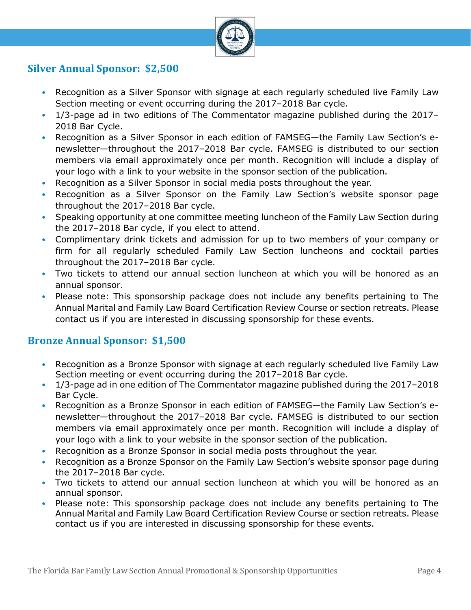

### **Silver Annual Sponsor: \$2,500**

- Recognition as a Silver Sponsor with signage at each regularly scheduled live Family Law Section meeting or event occurring during the 2017–2018 Bar cycle.
- 1/3-page ad in two editions of The Commentator magazine published during the 2017– 2018 Bar Cycle.
- Recognition as a Silver Sponsor in each edition of FAMSEG—the Family Law Section's enewsletter—throughout the 2017–2018 Bar cycle. FAMSEG is distributed to our section members via email approximately once per month. Recognition will include a display of your logo with a link to your website in the sponsor section of the publication.
- Recognition as a Silver Sponsor in social media posts throughout the year.
- Recognition as a Silver Sponsor on the Family Law Section's website sponsor page throughout the 2017–2018 Bar cycle.
- Speaking opportunity at one committee meeting luncheon of the Family Law Section during the 2017–2018 Bar cycle, if you elect to attend.
- Complimentary drink tickets and admission for up to two members of your company or firm for all regularly scheduled Family Law Section luncheons and cocktail parties throughout the 2017–2018 Bar cycle.
- Two tickets to attend our annual section luncheon at which you will be honored as an annual sponsor.
- Please note: This sponsorship package does not include any benefits pertaining to The Annual Marital and Family Law Board Certification Review Course or section retreats. Please contact us if you are interested in discussing sponsorship for these events.

#### **Bronze Annual Sponsor: \$1,500**

- Recognition as a Bronze Sponsor with signage at each regularly scheduled live Family Law Section meeting or event occurring during the 2017–2018 Bar cycle.
- 1/3-page ad in one edition of The Commentator magazine published during the 2017–2018 Bar Cycle.
- Recognition as a Bronze Sponsor in each edition of FAMSEG—the Family Law Section's enewsletter—throughout the 2017–2018 Bar cycle. FAMSEG is distributed to our section members via email approximately once per month. Recognition will include a display of your logo with a link to your website in the sponsor section of the publication.
- Recognition as a Bronze Sponsor in social media posts throughout the year.
- Recognition as a Bronze Sponsor on the Family Law Section's website sponsor page during the 2017–2018 Bar cycle.
- Two tickets to attend our annual section luncheon at which you will be honored as an annual sponsor.
- Please note: This sponsorship package does not include any benefits pertaining to The Annual Marital and Family Law Board Certification Review Course or section retreats. Please contact us if you are interested in discussing sponsorship for these events.